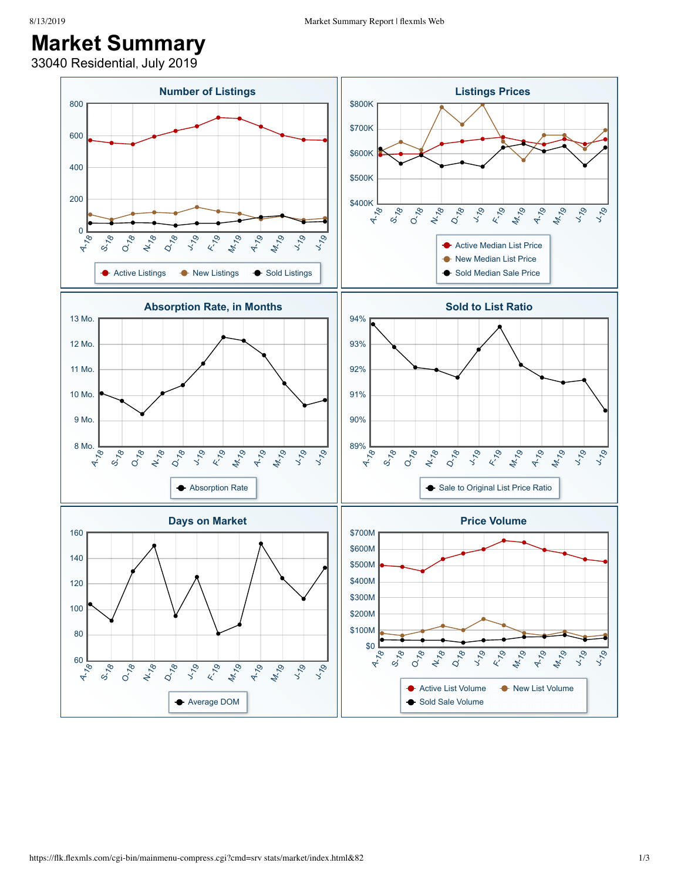## **Market Summary**

33040 Residential, July 2019

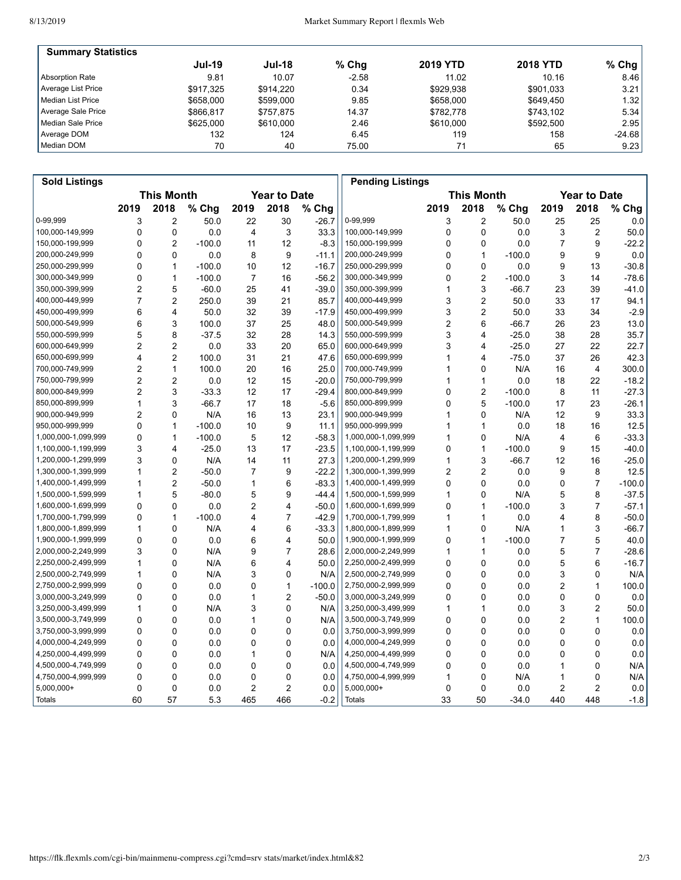| <b>Summary Statistics</b> |               |               |         |                 |                 |          |
|---------------------------|---------------|---------------|---------|-----------------|-----------------|----------|
|                           | <b>Jul-19</b> | <b>Jul-18</b> | $%$ Chg | <b>2019 YTD</b> | <b>2018 YTD</b> | $%$ Chg  |
| <b>Absorption Rate</b>    | 9.81          | 10.07         | $-2.58$ | 11.02           | 10.16           | 8.46     |
| Average List Price        | \$917.325     | \$914.220     | 0.34    | \$929,938       | \$901,033       | 3.21     |
| Median List Price         | \$658,000     | \$599,000     | 9.85    | \$658,000       | \$649.450       | 1.32     |
| Average Sale Price        | \$866.817     | \$757.875     | 14.37   | \$782,778       | \$743.102       | 5.34     |
| Median Sale Price         | \$625,000     | \$610,000     | 2.46    | \$610,000       | \$592.500       | 2.95     |
| Average DOM               | 132           | 124           | 6.45    | 119             | 158             | $-24.68$ |
| Median DOM                | 70            | 40            | 75.00   | 71              | 65              | 9.23     |

| <b>Sold Listings</b> |                                          |                         |          |                |                   |                     | <b>Pending Listings</b> |      |                         |          |      |                |          |
|----------------------|------------------------------------------|-------------------------|----------|----------------|-------------------|---------------------|-------------------------|------|-------------------------|----------|------|----------------|----------|
|                      | <b>This Month</b><br><b>Year to Date</b> |                         |          |                | <b>This Month</b> | <b>Year to Date</b> |                         |      |                         |          |      |                |          |
|                      | 2019                                     | 2018                    | % Chg    | 2019           | 2018              | $%$ Chg             |                         | 2019 | 2018                    | % Chg    | 2019 | 2018           | % Chg    |
| 0-99,999             | 3                                        | $\overline{2}$          | 50.0     | 22             | 30                | $-26.7$             | 0-99,999                | 3    | $\overline{2}$          | 50.0     | 25   | 25             | 0.0      |
| 100,000-149,999      | 0                                        | 0                       | 0.0      | 4              | 3                 | 33.3                | 100,000-149,999         | 0    | $\mathbf 0$             | 0.0      | 3    | 2              | 50.0     |
| 150,000-199,999      | 0                                        | $\overline{2}$          | $-100.0$ | 11             | 12                | $-8.3$              | 150,000-199,999         | 0    | 0                       | 0.0      | 7    | 9              | $-22.2$  |
| 200,000-249,999      | 0                                        | $\mathbf 0$             | 0.0      | 8              | 9                 | $-11.1$             | 200,000-249,999         | 0    | $\mathbf{1}$            | $-100.0$ | 9    | 9              | 0.0      |
| 250,000-299,999      | 0                                        | $\mathbf{1}$            | $-100.0$ | 10             | 12                | $-16.7$             | 250,000-299,999         | 0    | $\mathbf 0$             | 0.0      | 9    | 13             | $-30.8$  |
| 300,000-349,999      | 0                                        | 1                       | $-100.0$ | 7              | 16                | $-56.2$             | 300,000-349,999         | 0    | $\overline{2}$          | $-100.0$ | 3    | 14             | $-78.6$  |
| 350,000-399,999      | $\overline{2}$                           | 5                       | $-60.0$  | 25             | 41                | $-39.0$             | 350,000-399,999         | 1    | 3                       | $-66.7$  | 23   | 39             | $-41.0$  |
| 400,000-449,999      | 7                                        | $\overline{2}$          | 250.0    | 39             | 21                | 85.7                | 400,000-449,999         | 3    | $\overline{\mathbf{c}}$ | 50.0     | 33   | 17             | 94.1     |
| 450,000-499,999      | 6                                        | $\overline{4}$          | 50.0     | 32             | 39                | $-17.9$             | 450,000-499,999         | 3    | $\overline{2}$          | 50.0     | 33   | 34             | $-2.9$   |
| 500,000-549,999      | 6                                        | 3                       | 100.0    | 37             | 25                | 48.0                | 500,000-549,999         | 2    | 6                       | -66.7    | 26   | 23             | 13.0     |
| 550,000-599,999      | 5                                        | 8                       | $-37.5$  | 32             | 28                | 14.3                | 550,000-599,999         | 3    | 4                       | $-25.0$  | 38   | 28             | 35.7     |
| 600,000-649,999      | $\overline{2}$                           | $\boldsymbol{2}$        | 0.0      | 33             | 20                | 65.0                | 600,000-649,999         | 3    | 4                       | $-25.0$  | 27   | 22             | 22.7     |
| 650,000-699,999      | $\overline{\mathbf{4}}$                  | $\overline{2}$          | 100.0    | 31             | 21                | 47.6                | 650,000-699,999         | 1    | 4                       | $-75.0$  | 37   | 26             | 42.3     |
| 700,000-749,999      | $\overline{2}$                           | $\mathbf{1}$            | 100.0    | 20             | 16                | 25.0                | 700,000-749,999         | 1    | $\mathbf 0$             | N/A      | 16   | 4              | 300.0    |
| 750,000-799,999      | 2                                        | $\overline{2}$          | 0.0      | 12             | 15                | $-20.0$             | 750,000-799,999         | 1    | $\mathbf{1}$            | 0.0      | 18   | 22             | $-18.2$  |
| 800,000-849,999      | 2                                        | 3                       | $-33.3$  | 12             | 17                | $-29.4$             | 800,000-849,999         | 0    | $\overline{2}$          | $-100.0$ | 8    | 11             | $-27.3$  |
| 850,000-899,999      | 1                                        | 3                       | $-66.7$  | 17             | 18                | $-5.6$              | 850,000-899,999         | 0    | 5                       | $-100.0$ | 17   | 23             | $-26.1$  |
| 900,000-949,999      | $\overline{2}$                           | $\mathbf{0}$            | N/A      | 16             | 13                | 23.1                | 900,000-949,999         | 1    | $\mathbf 0$             | N/A      | 12   | 9              | 33.3     |
| 950,000-999,999      | 0                                        | $\mathbf{1}$            | $-100.0$ | 10             | 9                 | 11.1                | 950,000-999,999         | 1    | $\mathbf{1}$            | 0.0      | 18   | 16             | 12.5     |
| 1,000,000-1,099,999  | 0                                        | $\mathbf{1}$            | $-100.0$ | 5              | 12                | $-58.3$             | 1,000,000-1,099,999     | 1    | $\mathbf 0$             | N/A      | 4    | 6              | $-33.3$  |
| 1,100,000-1,199,999  | 3                                        | $\overline{\mathbf{4}}$ | $-25.0$  | 13             | 17                | $-23.5$             | 1,100,000-1,199,999     | 0    | $\mathbf{1}$            | $-100.0$ | 9    | 15             | $-40.0$  |
| 1,200,000-1,299,999  | 3                                        | $\mathbf 0$             | N/A      | 14             | 11                | 27.3                | 1,200,000-1,299,999     | 1    | 3                       | $-66.7$  | 12   | 16             | $-25.0$  |
| 1,300,000-1,399,999  | 1                                        | $\overline{2}$          | $-50.0$  | 7              | 9                 | $-22.2$             | 1,300,000-1,399,999     | 2    | $\overline{2}$          | 0.0      | 9    | 8              | 12.5     |
| 1,400,000-1,499,999  | 1                                        | $\overline{2}$          | $-50.0$  | 1              | 6                 | $-83.3$             | 1,400,000-1,499,999     | 0    | 0                       | 0.0      | 0    | 7              | $-100.0$ |
| 1,500,000-1,599,999  | 1                                        | 5                       | $-80.0$  | 5              | 9                 | -44.4               | 1,500,000-1,599,999     | 1    | $\mathbf 0$             | N/A      | 5    | 8              | $-37.5$  |
| 1,600,000-1,699,999  | 0                                        | $\mathbf 0$             | 0.0      | $\overline{2}$ | 4                 | $-50.0$             | 1,600,000-1,699,999     | 0    | $\mathbf{1}$            | $-100.0$ | 3    | $\overline{7}$ | $-57.1$  |
| 1,700,000-1,799,999  | 0                                        | $\mathbf{1}$            | $-100.0$ | 4              | $\overline{7}$    | $-42.9$             | 1,700,000-1,799,999     | 1    | $\mathbf{1}$            | 0.0      | 4    | 8              | $-50.0$  |
| 1,800,000-1,899,999  | 1                                        | 0                       | N/A      | 4              | 6                 | $-33.3$             | 1,800,000-1,899,999     | 1    | 0                       | N/A      | 1    | 3              | $-66.7$  |
| 1,900,000-1,999,999  | 0                                        | 0                       | 0.0      | 6              | 4                 | 50.0                | 1,900,000-1,999,999     | 0    | 1                       | $-100.0$ | 7    | 5              | 40.0     |
| 2,000,000-2,249,999  | 3                                        | $\mathbf{0}$            | N/A      | 9              | $\overline{7}$    | 28.6                | 2,000,000-2,249,999     | 1    | $\mathbf{1}$            | 0.0      | 5    | $\overline{7}$ | $-28.6$  |
| 2,250,000-2,499,999  | 1                                        | 0                       | N/A      | 6              | 4                 | 50.0                | 2,250,000-2,499,999     | 0    | $\mathbf 0$             | 0.0      | 5    | 6              | $-16.7$  |
| 2,500,000-2,749,999  | 1                                        | $\mathbf 0$             | N/A      | 3              | 0                 | N/A                 | 2,500,000-2,749,999     | 0    | $\mathbf 0$             | 0.0      | 3    | 0              | N/A      |
| 2,750,000-2,999,999  | 0                                        | 0                       | 0.0      | 0              | 1                 | $-100.0$            | 2,750,000-2,999,999     | 0    | 0                       | 0.0      | 2    | 1              | 100.0    |
| 3,000,000-3,249,999  | 0                                        | 0                       | 0.0      | 1              | $\overline{2}$    | $-50.0$             | 3,000,000-3,249,999     | 0    | $\mathbf 0$             | 0.0      | 0    | 0              | 0.0      |
| 3,250,000-3,499,999  | 1                                        | $\mathbf 0$             | N/A      | 3              | $\Omega$          | N/A                 | 3,250,000-3,499,999     | 1    | $\mathbf{1}$            | 0.0      | 3    | $\overline{c}$ | 50.0     |
| 3,500,000-3,749,999  | 0                                        | $\mathbf 0$             | 0.0      | 1              | 0                 | N/A                 | 3,500,000-3,749,999     | 0    | 0                       | 0.0      | 2    | $\mathbf{1}$   | 100.0    |
| 3,750,000-3,999,999  | 0                                        | $\mathbf 0$             | 0.0      | 0              | 0                 | 0.0                 | 3,750,000-3,999,999     | 0    | $\mathbf 0$             | 0.0      | 0    | 0              | 0.0      |
| 4,000,000-4,249,999  | 0                                        | 0                       | 0.0      | 0              | 0                 | 0.0                 | 4,000,000-4,249,999     | 0    | 0                       | 0.0      | 0    | 0              | 0.0      |
| 4,250,000-4,499,999  | $\Omega$                                 | $\mathbf 0$             | 0.0      | 1              | 0                 | N/A                 | 4,250,000-4,499,999     | 0    | $\mathbf 0$             | 0.0      | 0    | 0              | 0.0      |
| 4,500,000-4,749,999  | 0                                        | $\mathbf 0$             | 0.0      | $\mathbf 0$    | $\mathbf 0$       | 0.0                 | 4,500,000-4,749,999     | 0    | 0                       | 0.0      | 1    | $\mathbf 0$    | N/A      |
| 4,750,000-4,999,999  | 0                                        | 0                       | 0.0      | 0              | 0                 | 0.0                 | 4,750,000-4,999,999     | 1    | 0                       | N/A      | 1    | 0              | N/A      |
| 5,000,000+           | 0                                        | 0                       | 0.0      | $\overline{c}$ | $\overline{c}$    | 0.0                 | 5,000,000+              | 0    | $\mathbf 0$             | 0.0      | 2    | 2              | 0.0      |
| Totals               | 60                                       | 57                      | 5.3      | 465            | 466               | $-0.2$              | <b>Totals</b>           | 33   | 50                      | $-34.0$  | 440  | 448            | $-1.8$   |